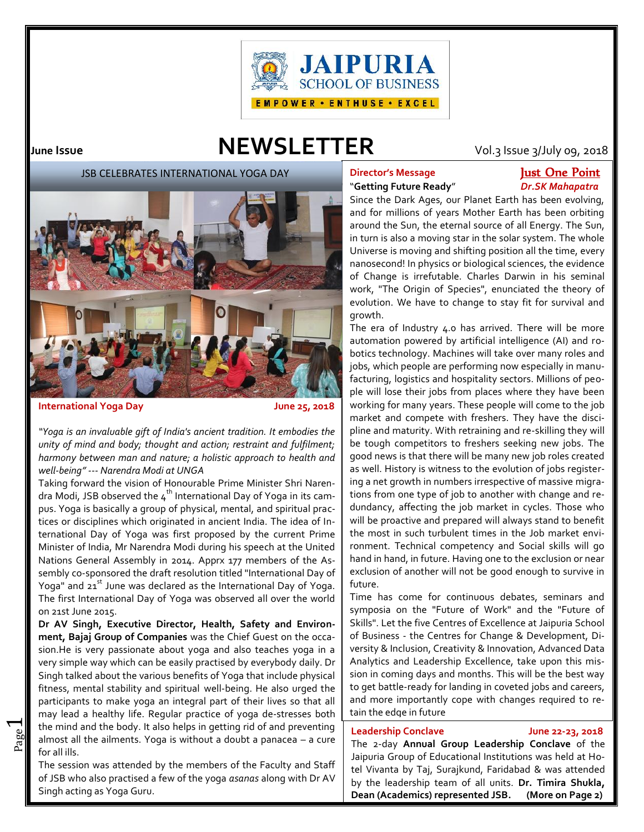

# **June Issue NEWSLETTER** Vol.3 Issue 3/July 09, 2018

JSB CELEBRATES INTERNATIONAL YOGA DAY



### **International Yoga Day June 25, 2018**

 $\overline{\phantom{0}}$ 

*"Yoga is an invaluable gift of India's ancient tradition. It embodies the unity of mind and body; thought and action; restraint and fulfilment; harmony between man and nature; a holistic approach to health and well-being" --- Narendra Modi at UNGA*

Taking forward the vision of Honourable Prime Minister Shri Narendra Modi, JSB observed the  $4<sup>th</sup>$  International Day of Yoga in its campus. Yoga is basically a group of physical, mental, and spiritual practices or disciplines which originated in ancient India. The idea of International Day of Yoga was first proposed by the current Prime Minister of India, Mr Narendra Modi during his speech at the United Nations General Assembly in 2014. Apprx 177 members of the Assembly co-sponsored the draft resolution titled "International Day of Yoga" and  $21<sup>st</sup>$  June was declared as the International Day of Yoga. The first International Day of Yoga was observed all over the world on 21st June 2015.

almost all the ailments. Yoga is without a doubt a panacea – a cure  $\left| \begin{array}{c} \text{lead} \\ \text{flow} \end{array} \right|$ the mind and the body. It also helps in getting rid of and preventing  $\parallel$   $\parallel$ **Dr AV Singh, Executive Director, Health, Safety and Environment, Bajaj Group of Companies** was the Chief Guest on the occasion.He is very passionate about yoga and also teaches yoga in a very simple way which can be easily practised by everybody daily. Dr Singh talked about the various benefits of Yoga that include physical fitness, mental stability and spiritual well-being. He also urged the participants to make yoga an integral part of their lives so that all may lead a healthy life. Regular practice of yoga de-stresses both for all ills.

The session was attended by the members of the Faculty and Staff of JSB who also practised a few of the yoga *asanas* along with Dr AV Singh acting as Yoga Guru.

# **Director's Message Just One Point**

# "**Getting Future Ready**" *Dr.SK Mahapatra*

Since the Dark Ages, our Planet Earth has been evolving, and for millions of years Mother Earth has been orbiting around the Sun, the eternal source of all Energy. The Sun, in turn is also a moving star in the solar system. The whole Universe is moving and shifting position all the time, every nanosecond! In physics or biological sciences, the evidence of Change is irrefutable. Charles Darwin in his seminal work, "The Origin of Species", enunciated the theory of evolution. We have to change to stay fit for survival and growth.

The era of Industry 4.0 has arrived. There will be more automation powered by artificial intelligence (AI) and robotics technology. Machines will take over many roles and jobs, which people are performing now especially in manufacturing, logistics and hospitality sectors. Millions of people will lose their jobs from places where they have been working for many years. These people will come to the job market and compete with freshers. They have the discipline and maturity. With retraining and re-skilling they will be tough competitors to freshers seeking new jobs. The good news is that there will be many new job roles created as well. History is witness to the evolution of jobs registering a net growth in numbers irrespective of massive migrations from one type of job to another with change and redundancy, affecting the job market in cycles. Those who will be proactive and prepared will always stand to benefit the most in such turbulent times in the Job market environment. Technical competency and Social skills will go hand in hand, in future. Having one to the exclusion or near exclusion of another will not be good enough to survive in future.

Time has come for continuous debates, seminars and symposia on the "Future of Work" and the "Future of Skills". Let the five Centres of Excellence at Jaipuria School of Business - the Centres for Change & Development, Diversity & Inclusion, Creativity & Innovation, Advanced Data Analytics and Leadership Excellence, take upon this mission in coming days and months. This will be the best way to get battle-ready for landing in coveted jobs and careers, and more importantly cope with changes required to retain the edge in future

#### **Leadership Conclave June 22-23, 2018**

The 2-day **Annual Group Leadership Conclave** of the Jaipuria Group of Educational Institutions was held at Hotel Vivanta by Taj, Surajkund, Faridabad & was attended by the leadership team of all units. **Dr. Timira Shukla, Dean (Academics) represented JSB. (More on Page 2)**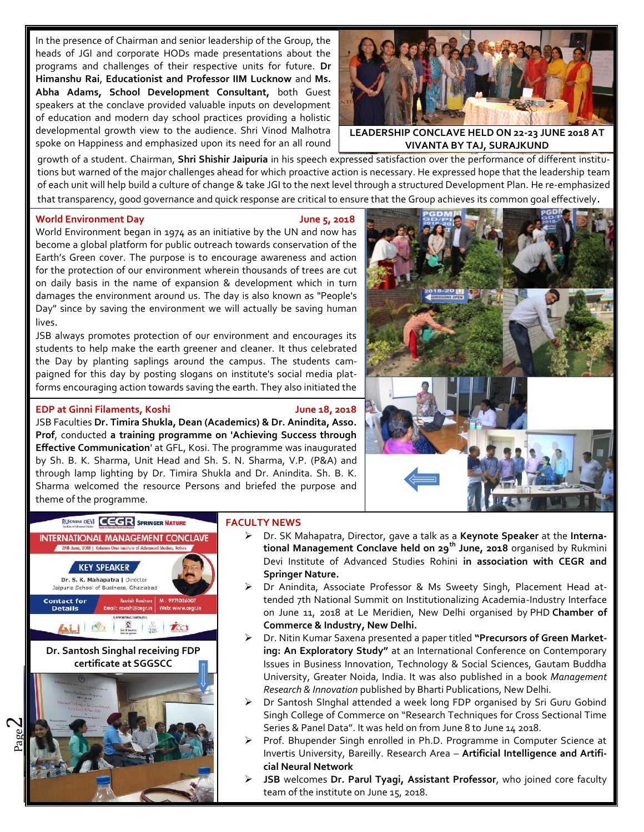In the presence of Chairman and senior leadership of the Group, the heads of JGI and corporate HODs made presentations about the programs and challenges of their respective units for future. **Dr Himanshu Rai**, **Educationist and Professor IIM Lucknow** and **Ms. Abha Adams, School Development Consultant,** both Guest speakers at the conclave provided valuable inputs on development of education and modern day school practices providing a holistic developmental growth view to the audience. Shri Vinod Malhotra spoke on Happiness and emphasized upon its need for an all round



**LEADERSHIP CONCLAVE HELD ON 22-23 JUNE 2018 AT VIVANTA BY TAJ, SURAJKUND**

growth of a student. Chairman, Shri Shishir Jaipuria in his speech expressed satisfaction over the performance of different institutions but warned of the major challenges ahead for which proactive action is necessary. He expressed hope that the leadership team of each unit will help build a culture of change & take JGI to the next level through a structured Development Plan. He re-emphasized that transparency, good governance and quick response are critical to ensure that the Group achieves its common goal effectively.

#### **World Environment Day June 5, 2018**

World Environment began in 1974 as an initiative by the UN and now has become a global platform for public outreach towards conservation of the Earth's Green cover. The purpose is to encourage awareness and action for the protection of our environment wherein thousands of trees are cut on daily basis in the name of expansion & development which in turn damages the environment around us. The day is also known as "People's Day" since by saving the environment we will actually be saving human lives.

JSB always promotes protection of our environment and encourages its students to help make the earth greener and cleaner. It thus celebrated the Day by planting saplings around the campus. The students campaigned for this day by posting slogans on institute's social media platforms encouraging action towards saving the earth. They also initiated the

#### awareness campaigns online to promote planting of trees. **EDP at Ginni Filaments, Koshi June 18, 2018**

JSB Faculties **Dr. Timira Shukla, Dean (Academics) & Dr. Anindita, Asso. Prof**, conducted **a training programme on 'Achieving Success through Effective Communication**' at GFL, Kosi. The programme was inaugurated by Sh. B. K. Sharma, Unit Head and Sh. S. N. Sharma, V.P. (P&A) and through lamp lighting by Dr. Timira Shukla and Dr. Anindita. Sh. B. K. Sharma welcomed the resource Persons and briefed the purpose and theme of the programme.





#### **FACULTY NEWS**

- Dr. SK Mahapatra, Director, gave a talk as a **Keynote Speaker** at the **International Management Conclave held on 29th June, 2018** organised by Rukmini Devi Institute of Advanced Studies Rohini **in association with CEGR and Springer Nature.**
- Dr Anindita, Associate Professor & Ms Sweety Singh, Placement Head attended 7th National Summit on Institutionalizing Academia-Industry Interface on June 11, 2018 at Le Meridien, New Delhi organised by PHD **Chamber of Commerce & Industry, New Delhi.**
- Dr. Nitin Kumar Saxena presented a paper titled **"Precursors of Green Marketing: An Exploratory Study"** at an International Conference on Contemporary Issues in Business Innovation, Technology & Social Sciences, Gautam Buddha University, Greater Noida, India. It was also published in a book *Management Research & Innovation* published by Bharti Publications, New Delhi.
- Dr Santosh SInghal attended a week long FDP organised by Sri Guru Gobind Singh College of Commerce on "Research Techniques for Cross Sectional Time Series & Panel Data". It was held on from June 8 to June 14 2018.
- Prof. Bhupender Singh enrolled in Ph.D. Programme in Computer Science at Invertis University, Bareilly. Research Area – **Artificial Intelligence and Artificial Neural Network**
- **JSB** welcomes **Dr. Parul Tyagi, Assistant Professor**, who joined core faculty team of the institute on June 15, 2018.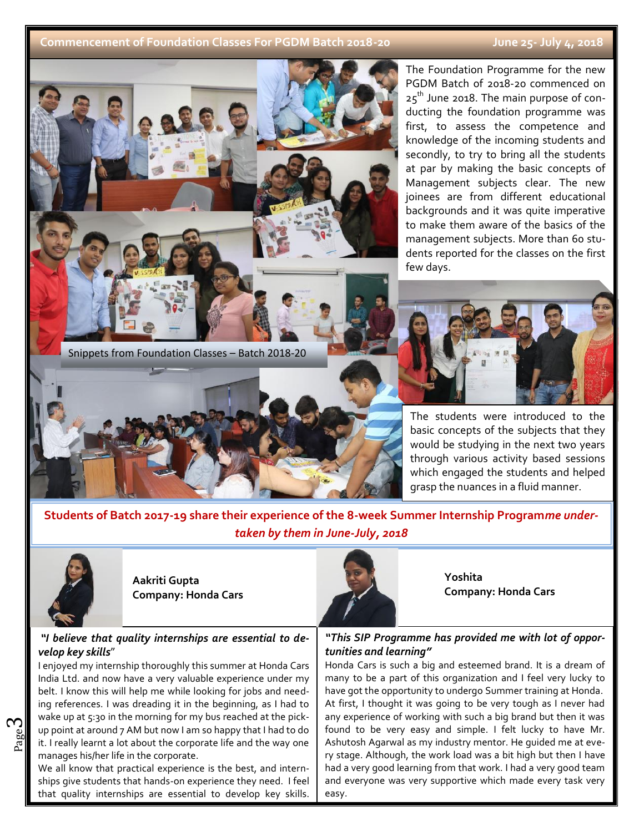## **Commencement of Foundation Classes For PGDM Batch 2018-20 June 25- July 4, 2018**



The Foundation Programme for the new PGDM Batch of 2018-20 commenced on  $25<sup>th</sup>$  June 2018. The main purpose of conducting the foundation programme was first, to assess the competence and knowledge of the incoming students and secondly, to try to bring all the students at par by making the basic concepts of Management subjects clear. The new joinees are from different educational backgrounds and it was quite imperative to make them aware of the basics of the management subjects. More than 60 students reported for the classes on the first

The students were introduced to the basic concepts of the subjects that they would be studying in the next two years through various activity based sessions which engaged the students and helped grasp the nuances in a fluid manner.

**Students of Batch 2017-19 share their experience of the 8-week Summer Internship Program***me undertaken by them in June-July, 2018*



<u>Skills (Skills (Skills (Skills (Skills (Skills (Skills (Skills (Skills (Skills (Skills (Skills (Skills (Skills</u>

ო

**Aakriti Gupta Company: Honda Cars**

## *"I believe that quality internships are essential to develop key skills*"

as a lot op point at around 7 AM but now ram so happy that I had to do looking<br>it. I really learnt a lot about the corporate life and the way one Ashu up point at around 7 AM but now I am so happy that I had to do  $\parallel$  found I enjoyed my internship thoroughly this summer at Honda Cars India Ltd. and now have a very valuable experience under my belt. I know this will help me while looking for jobs and needing references. I was dreading it in the beginning, as I had to wake up at 5:30 in the morning for my bus reached at the pickmanages his/her life in the corporate.

We all know that practical experience is the best, and internships give students that hands-on experience they need. I feel that quality internships are essential to develop key skills.



**Yoshita Company: Honda Cars**

*"This SIP Programme has provided me with lot of opportunities and learning"*

Honda Cars is such a big and esteemed brand. It is a dream of many to be a part of this organization and I feel very lucky to have got the opportunity to undergo Summer training at Honda. At first, I thought it was going to be very tough as I never had any experience of working with such a big brand but then it was found to be very easy and simple. I felt lucky to have Mr. Ashutosh Agarwal as my industry mentor. He guided me at every stage. Although, the work load was a bit high but then I have had a very good learning from that work. I had a very good team and everyone was very supportive which made every task very easy.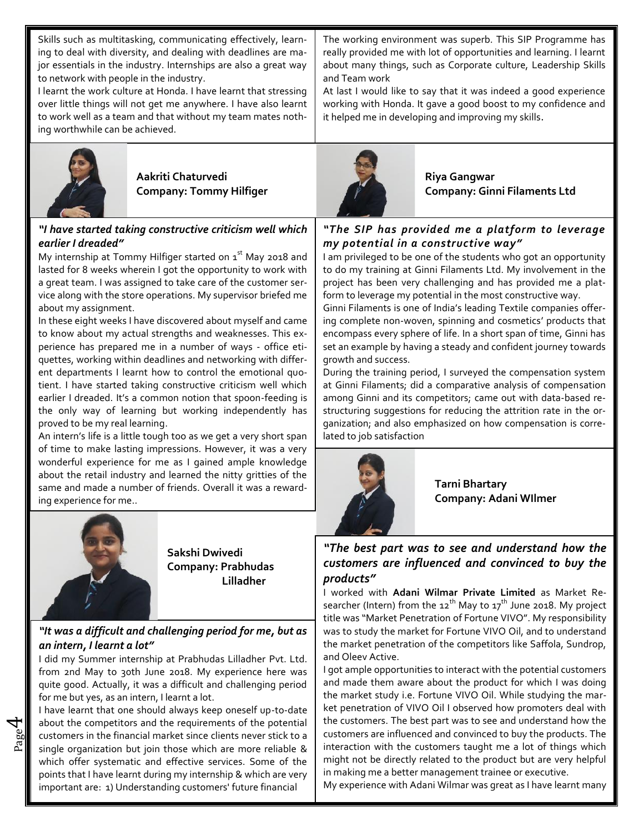Skills such as multitasking, communicating effectively, learning to deal with diversity, and dealing with deadlines are major essentials in the industry. Internships are also a great way to network with people in the industry.

I learnt the work culture at Honda. I have learnt that stressing over little things will not get me anywhere. I have also learnt to work well as a team and that without my team mates nothing worthwhile can be achieved.



**Aakriti** Chaturvedi **Riya Gangwar** 

# *"I have started taking constructive criticism well which earlier I dreaded"*

My internship at Tommy Hilfiger started on  $1<sup>st</sup>$  May 2018 and lasted for 8 weeks wherein I got the opportunity to work with a great team. I was assigned to take care of the customer service along with the store operations. My supervisor briefed me about my assignment.

In these eight weeks I have discovered about myself and came to know about my actual strengths and weaknesses. This experience has prepared me in a number of ways - office etiquettes, working within deadlines and networking with different departments I learnt how to control the emotional quotient. I have started taking constructive criticism well which earlier I dreaded. It's a common notion that spoon-feeding is the only way of learning but working independently has proved to be my real learning.

An intern's life is a little tough too as we get a very short span of time to make lasting impressions. However, it was a very wonderful experience for me as I gained ample knowledge about the retail industry and learned the nitty gritties of the same and made a number of friends. Overall it was a rewarding experience for me..



4

**Sakshi Dwivedi Company: Prabhudas Lilladher**

# *"It was a difficult and challenging period for me, but as an intern, I learnt a lot"*

I did my Summer internship at Prabhudas Lilladher Pvt. Ltd. from 2nd May to 30th June 2018. My experience here was quite good. Actually, it was a difficult and challenging period for me but yes, as an intern, I learnt a lot.

 $\mathbb{E}$  customers in the financial market since clients never stick to a customers in the financial market since clients never stick to a customers in the financial market since which are more reliable & inter-I have learnt that one should always keep oneself up-to-date about the competitors and the requirements of the potential single organization but join those which are more reliable & which offer systematic and effective services. Some of the points that I have learnt during my internship & which are very important are: 1) Understanding customers' future financial

The working environment was superb. This SIP Programme has really provided me with lot of opportunities and learning. I learnt about many things, such as Corporate culture, Leadership Skills and Team work

At last I would like to say that it was indeed a good experience working with Honda. It gave a good boost to my confidence and it helped me in developing and improving my skills.



**Company: Tommy Hilfiger Company: Ginni Filaments Ltd**

# *"The SIP has provided me a platform to leverage my potential in a constructive way"*

I am privileged to be one of the students who got an opportunity to do my training at Ginni Filaments Ltd. My involvement in the project has been very challenging and has provided me a platform to leverage my potential in the most constructive way.

Ginni Filaments is one of India's leading Textile companies offering complete non-woven, spinning and cosmetics' products that encompass every sphere of life. In a short span of time, Ginni has set an example by having a steady and confident journey towards growth and success.

During the training period, I surveyed the compensation system at Ginni Filaments; did a comparative analysis of compensation among Ginni and its competitors; came out with data-based restructuring suggestions for reducing the attrition rate in the organization; and also emphasized on how compensation is correlated to job satisfaction



**Tarni Bhartary Company: Adani WIlmer**

# *"The best part was to see and understand how the customers are influenced and convinced to buy the products"*

I worked with **Adani Wilmar Private Limited** as Market Researcher (Intern) from the  $12^{th}$  May to  $17^{th}$  June 2018. My project title was "Market Penetration of Fortune VIVO". My responsibility was to study the market for Fortune VIVO Oil, and to understand the market penetration of the competitors like Saffola, Sundrop, and Oleev Active.

I got ample opportunities to interact with the potential customers and made them aware about the product for which I was doing the market study i.e. Fortune VIVO Oil. While studying the market penetration of VIVO Oil I observed how promoters deal with the customers. The best part was to see and understand how the customers are influenced and convinced to buy the products. The interaction with the customers taught me a lot of things which might not be directly related to the product but are very helpful in making me a better management trainee or executive.

My experience with Adani Wilmar was great as I have learnt many